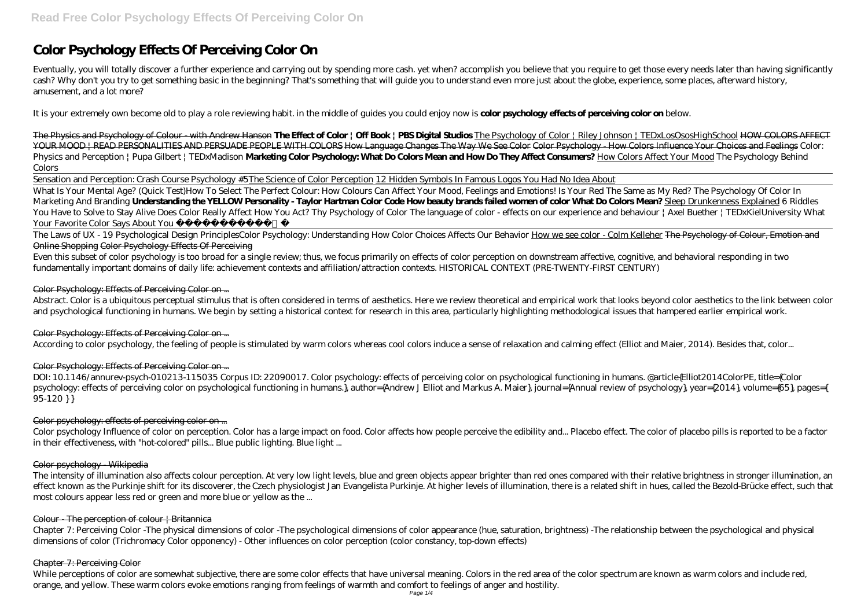# **Color Psychology Effects Of Perceiving Color On**

Eventually, you will totally discover a further experience and carrying out by spending more cash. yet when? accomplish you believe that you require to get those every needs later than having significantly cash? Why don't you try to get something basic in the beginning? That's something that will guide you to understand even more just about the globe, experience, some places, afterward history, amusement, and a lot more?

It is your extremely own become old to play a role reviewing habit. in the middle of guides you could enjoy now is **color psychology effects of perceiving color on** below.

The Physics and Psychology of Colour - with Andrew Hanson **The Effect of Color | Off Book | PBS Digital Studios** The Psychology of Color | Riley Johnson | TEDxLosOsosHighSchool HOW COLORS AFFECT YOUR MOOD | READ PERSONALITIES AND PERSUADE PEOPLE WITH COLORS How Language Changes The Way We See Color Color Psychology - How Colors Influence Your Choices and Feelings *Color: Physics and Perception | Pupa Gilbert | TEDxMadison* **Marketing Color Psychology: What Do Colors Mean and How Do They Affect Consumers?** How Colors Affect Your Mood *The Psychology Behind Colors*

Sensation and Perception: Crash Course Psychology #5The Science of Color Perception 12 Hidden Symbols In Famous Logos You Had No Idea About

What Is Your Mental Age? (Quick Test)*How To Select The Perfect Colour: How Colours Can Affect Your Mood, Feelings and Emotions! Is Your Red The Same as My Red? The Psychology Of Color In Marketing And Branding* **Understanding the YELLOW Personality - Taylor Hartman Color Code How beauty brands failed women of color What Do Colors Mean?** Sleep Drunkenness Explained *6 Riddles You Have to Solve to Stay Alive* Does Color Really Affect How You Act? *Thy Psychology of Color The language of color - effects on our experience and behaviour | Axel Buether | TEDxKielUniversity* What Your Favorite Color Says About You ️

The Laws of UX - 19 Psychological Design Principles*Color Psychology: Understanding How Color Choices Affects Our Behavior* How we see color - Colm Kelleher The Psychology of Colour, Emotion and Online Shopping Color Psychology Effects Of Perceiving

Even this subset of color psychology is too broad for a single review; thus, we focus primarily on effects of color perception on downstream affective, cognitive, and behavioral responding in two fundamentally important domains of daily life: achievement contexts and affiliation/attraction contexts. HISTORICAL CONTEXT (PRE-TWENTY-FIRST CENTURY)

## Color Psychology: Effects of Perceiving Color on ...

While perceptions of color are somewhat subjective, there are some color effects that have universal meaning. Colors in the red area of the color spectrum are known as warm colors and include red, orange, and yellow. These warm colors evoke emotions ranging from feelings of warmth and comfort to feelings of anger and hostility.

Abstract. Color is a ubiquitous perceptual stimulus that is often considered in terms of aesthetics. Here we review theoretical and empirical work that looks beyond color aesthetics to the link between color and psychological functioning in humans. We begin by setting a historical context for research in this area, particularly highlighting methodological issues that hampered earlier empirical work.

# Color Psychology: Effects of Perceiving Color on ...

According to color psychology, the feeling of people is stimulated by warm colors whereas cool colors induce a sense of relaxation and calming effect (Elliot and Maier, 2014). Besides that, color...

# Color Psychology: Effects of Perceiving Color on ...

DOI: 10.1146/annurev-psych-010213-115035 Corpus ID: 22090017. Color psychology: effects of perceiving color on psychological functioning in humans. @article{Elliot2014ColorPE, title={Color psychology: effects of perceiving color on psychological functioning in humans.}, author={Andrew J Elliot and Markus A. Maier}, journal={Annual review of psychology}, year={2014}, volume={65}, pages={ 95-120 } }

#### Color psychology: effects of perceiving color on ...

Color psychology Influence of color on perception. Color has a large impact on food. Color affects how people perceive the edibility and... Placebo effect. The color of placebo pills is reported to be a factor in their effectiveness, with "hot-colored" pills... Blue public lighting. Blue light ...

#### Color psychology - Wikipedia

The intensity of illumination also affects colour perception. At very low light levels, blue and green objects appear brighter than red ones compared with their relative brightness in stronger illumination, an effect known as the Purkinje shift for its discoverer, the Czech physiologist Jan Evangelista Purkinje. At higher levels of illumination, there is a related shift in hues, called the Bezold-Brücke effect, such that most colours appear less red or green and more blue or yellow as the ...

#### Colour  $\Gamma$  The perception of colour  $\Gamma$  Britannica

Chapter 7: Perceiving Color -The physical dimensions of color -The psychological dimensions of color appearance (hue, saturation, brightness) -The relationship between the psychological and physical dimensions of color (Trichromacy Color opponency) - Other influences on color perception (color constancy, top-down effects)

#### Chapter 7: Perceiving Color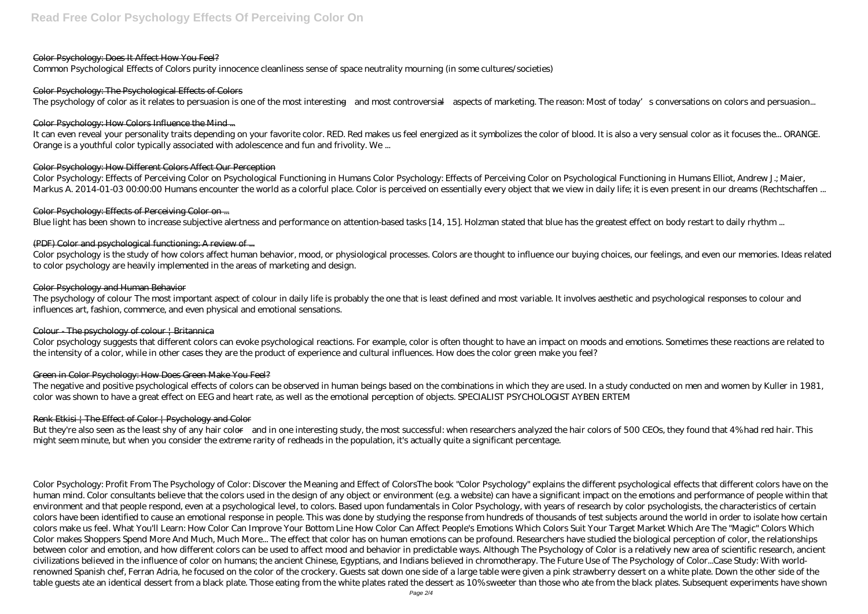#### Color Psychology: Does It Affect How You Feel?

Common Psychological Effects of Colors purity innocence cleanliness sense of space neutrality mourning (in some cultures/societies)

#### Color Psychology: The Psychological Effects of Colors

The psychology of color as it relates to persuasion is one of the most interesting—and most controversial—aspects of marketing. The reason: Most of today's conversations on colors and persuasion...

## Color Psychology: How Colors Influence the Mind ...

It can even reveal your personality traits depending on your favorite color. RED. Red makes us feel energized as it symbolizes the color of blood. It is also a very sensual color as it focuses the... ORANGE. Orange is a youthful color typically associated with adolescence and fun and frivolity. We ...

## Color Psychology: How Different Colors Affect Our Perception

Color Psychology: Effects of Perceiving Color on Psychological Functioning in Humans Color Psychology: Effects of Perceiving Color on Psychological Functioning in Humans Elliot, Andrew J.; Maier, Markus A. 2014-01-03 00:00:00 Humans encounter the world as a colorful place. Color is perceived on essentially every object that we view in daily life; it is even present in our dreams (Rechtschaffen ...

## Color Psychology: Effects of Perceiving Color on ...

Blue light has been shown to increase subjective alertness and performance on attention-based tasks [14, 15]. Holzman stated that blue has the greatest effect on body restart to daily rhythm ...

# (PDF) Color and psychological functioning: A review of ...

But they're also seen as the least shy of any hair color—and in one interesting study, the most successful: when researchers analyzed the hair colors of 500 CEOs, they found that 4% had red hair. This might seem minute, but when you consider the extreme rarity of redheads in the population, it's actually quite a significant percentage.

Color psychology is the study of how colors affect human behavior, mood, or physiological processes. Colors are thought to influence our buying choices, our feelings, and even our memories. Ideas related to color psychology are heavily implemented in the areas of marketing and design.

#### Color Psychology and Human Behavior

The psychology of colour The most important aspect of colour in daily life is probably the one that is least defined and most variable. It involves aesthetic and psychological responses to colour and influences art, fashion, commerce, and even physical and emotional sensations.

#### Colour The psychology of colour | Britannica

Color psychology suggests that different colors can evoke psychological reactions. For example, color is often thought to have an impact on moods and emotions. Sometimes these reactions are related to the intensity of a color, while in other cases they are the product of experience and cultural influences. How does the color green make you feel?

# Green in Color Psychology: How Does Green Make You Feel?

The negative and positive psychological effects of colors can be observed in human beings based on the combinations in which they are used. In a study conducted on men and women by Kuller in 1981, color was shown to have a great effect on EEG and heart rate, as well as the emotional perception of objects. SPECIALIST PSYCHOLOGIST AYBEN ERTEM

# Renk Etkisi | The Effect of Color | Psychology and Color

Color Psychology: Profit From The Psychology of Color: Discover the Meaning and Effect of ColorsThe book "Color Psychology" explains the different psychological effects that different colors have on the human mind. Color consultants believe that the colors used in the design of any object or environment (e.g. a website) can have a significant impact on the emotions and performance of people within that environment and that people respond, even at a psychological level, to colors. Based upon fundamentals in Color Psychology, with years of research by color psychologists, the characteristics of certain colors have been identified to cause an emotional response in people. This was done by studying the response from hundreds of thousands of test subjects around the world in order to isolate how certain colors make us feel. What You'll Learn: How Color Can Improve Your Bottom Line How Color Can Affect People's Emotions Which Colors Suit Your Target Market Which Are The "Magic" Colors Which Color makes Shoppers Spend More And Much, Much More... The effect that color has on human emotions can be profound. Researchers have studied the biological perception of color, the relationships between color and emotion, and how different colors can be used to affect mood and behavior in predictable ways. Although The Psychology of Color is a relatively new area of scientific research, ancient civilizations believed in the influence of color on humans; the ancient Chinese, Egyptians, and Indians believed in chromotherapy. The Future Use of The Psychology of Color...Case Study: With worldrenowned Spanish chef, Ferran Adria, he focused on the color of the crockery. Guests sat down one side of a large table were given a pink strawberry dessert on a white plate. Down the other side of the table guests ate an identical dessert from a black plate. Those eating from the white plates rated the dessert as 10% sweeter than those who ate from the black plates. Subsequent experiments have shown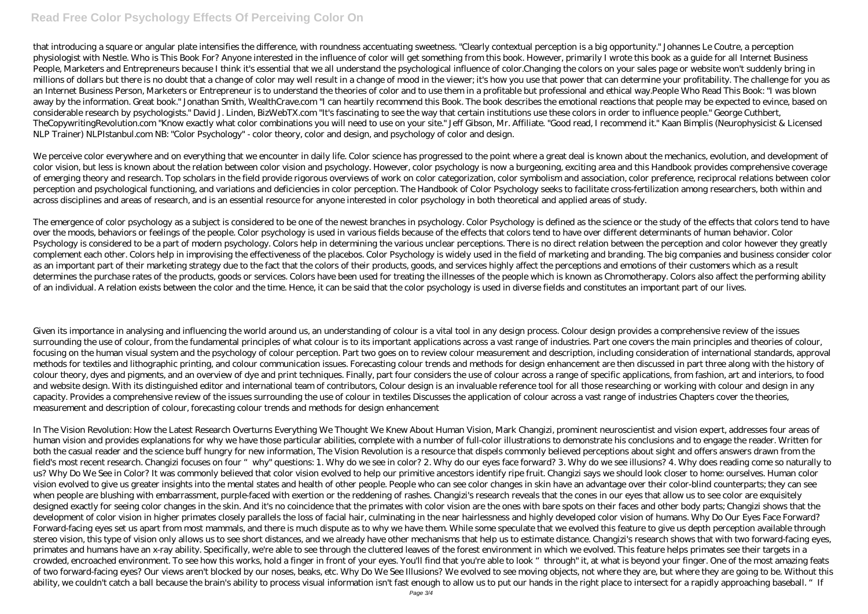# **Read Free Color Psychology Effects Of Perceiving Color On**

that introducing a square or angular plate intensifies the difference, with roundness accentuating sweetness. "Clearly contextual perception is a big opportunity." Johannes Le Coutre, a perception physiologist with Nestle. Who is This Book For? Anyone interested in the influence of color will get something from this book. However, primarily I wrote this book as a guide for all Internet Business People, Marketers and Entrepreneurs because I think it's essential that we all understand the psychological influence of color. Changing the colors on your sales page or website won't suddenly bring in millions of dollars but there is no doubt that a change of color may well result in a change of mood in the viewer; it's how you use that power that can determine your profitability. The challenge for you as an Internet Business Person, Marketers or Entrepreneur is to understand the theories of color and to use them in a profitable but professional and ethical way.People Who Read This Book: "I was blown away by the information. Great book." Jonathan Smith, WealthCrave.com "I can heartily recommend this Book. The book describes the emotional reactions that people may be expected to evince, based on considerable research by psychologists." David J. Linden, BizWebTX.com "It's fascinating to see the way that certain institutions use these colors in order to influence people." George Cuthbert, TheCopywritingRevolution.com "Know exactly what color combinations you will need to use on your site." Jeff Gibson, Mr. Affiliate. "Good read, I recommend it." Kaan Bimplis (Neurophysicist & Licensed NLP Trainer) NLPIstanbul.com NB: "Color Psychology" - color theory, color and design, and psychology of color and design.

We perceive color everywhere and on everything that we encounter in daily life. Color science has progressed to the point where a great deal is known about the mechanics, evolution, and development of color vision, but less is known about the relation between color vision and psychology. However, color psychology is now a burgeoning, exciting area and this Handbook provides comprehensive coverage of emerging theory and research. Top scholars in the field provide rigorous overviews of work on color categorization, color symbolism and association, color preference, reciprocal relations between color perception and psychological functioning, and variations and deficiencies in color perception. The Handbook of Color Psychology seeks to facilitate cross-fertilization among researchers, both within and across disciplines and areas of research, and is an essential resource for anyone interested in color psychology in both theoretical and applied areas of study.

The emergence of color psychology as a subject is considered to be one of the newest branches in psychology. Color Psychology is defined as the science or the study of the effects that colors tend to have over the moods, behaviors or feelings of the people. Color psychology is used in various fields because of the effects that colors tend to have over different determinants of human behavior. Color Psychology is considered to be a part of modern psychology. Colors help in determining the various unclear perceptions. There is no direct relation between the perception and color however they greatly complement each other. Colors help in improvising the effectiveness of the placebos. Color Psychology is widely used in the field of marketing and branding. The big companies and business consider color as an important part of their marketing strategy due to the fact that the colors of their products, goods, and services highly affect the perceptions and emotions of their customers which as a result determines the purchase rates of the products, goods or services. Colors have been used for treating the illnesses of the people which is known as Chromotherapy. Colors also affect the performing ability of an individual. A relation exists between the color and the time. Hence, it can be said that the color psychology is used in diverse fields and constitutes an important part of our lives.

In The Vision Revolution: How the Latest Research Overturns Everything We Thought We Knew About Human Vision, Mark Changizi, prominent neuroscientist and vision expert, addresses four areas of human vision and provides explanations for why we have those particular abilities, complete with a number of full-color illustrations to demonstrate his conclusions and to engage the reader. Written for both the casual reader and the science buff hungry for new information, The Vision Revolution is a resource that dispels commonly believed perceptions about sight and offers answers drawn from the field's most recent research. Changizi focuses on four "why" questions: 1. Why do we see in color? 2. Why do our eyes face forward? 3. Why do we see illusions? 4. Why does reading come so naturally to us? Why Do We See in Color? It was commonly believed that color vision evolved to help our primitive ancestors identify ripe fruit. Changizi says we should look closer to home: ourselves. Human color vision evolved to give us greater insights into the mental states and health of other people. People who can see color changes in skin have an advantage over their color-blind counterparts; they can see when people are blushing with embarrassment, purple-faced with exertion or the reddening of rashes. Changizi's research reveals that the cones in our eyes that allow us to see color are exquisitely designed exactly for seeing color changes in the skin. And it's no coincidence that the primates with color vision are the ones with bare spots on their faces and other body parts; Changizi shows that the development of color vision in higher primates closely parallels the loss of facial hair, culminating in the near hairlessness and highly developed color vision of humans. Why Do Our Eyes Face Forward? Forward-facing eyes set us apart from most mammals, and there is much dispute as to why we have them. While some speculate that we evolved this feature to give us depth perception available through stereo vision, this type of vision only allows us to see short distances, and we already have other mechanisms that help us to estimate distance. Changizi's research shows that with two forward-facing eyes, primates and humans have an x-ray ability. Specifically, we're able to see through the cluttered leaves of the forest environment in which we evolved. This feature helps primates see their targets in a crowded, encroached environment. To see how this works, hold a finger in front of your eyes. You'll find that you're able to look "through" it, at what is beyond your finger. One of the most amazing feats of two forward-facing eyes? Our views aren't blocked by our noses, beaks, etc. Why Do We See Illusions? We evolved to see moving objects, not where they are, but where they are going to be. Without this ability, we couldn't catch a ball because the brain's ability to process visual information isn't fast enough to allow us to put our hands in the right place to intersect for a rapidly approaching baseball. "If

Given its importance in analysing and influencing the world around us, an understanding of colour is a vital tool in any design process. Colour design provides a comprehensive review of the issues surrounding the use of colour, from the fundamental principles of what colour is to its important applications across a vast range of industries. Part one covers the main principles and theories of colour, focusing on the human visual system and the psychology of colour perception. Part two goes on to review colour measurement and description, including consideration of international standards, approval methods for textiles and lithographic printing, and colour communication issues. Forecasting colour trends and methods for design enhancement are then discussed in part three along with the history of colour theory, dyes and pigments, and an overview of dye and print techniques. Finally, part four considers the use of colour across a range of specific applications, from fashion, art and interiors, to food and website design. With its distinguished editor and international team of contributors, Colour design is an invaluable reference tool for all those researching or working with colour and design in any capacity. Provides a comprehensive review of the issues surrounding the use of colour in textiles Discusses the application of colour across a vast range of industries Chapters cover the theories, measurement and description of colour, forecasting colour trends and methods for design enhancement